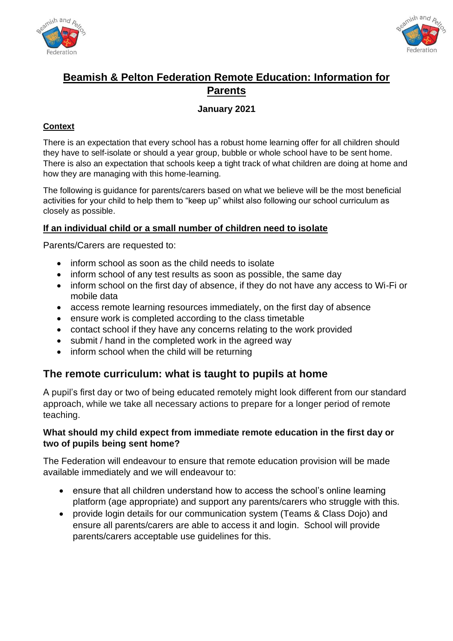



## **Beamish & Pelton Federation Remote Education: Information for Parents**

### **January 2021**

#### **Context**

There is an expectation that every school has a robust home learning offer for all children should they have to self-isolate or should a year group, bubble or whole school have to be sent home. There is also an expectation that schools keep a tight track of what children are doing at home and how they are managing with this home-learning.

The following is guidance for parents/carers based on what we believe will be the most beneficial activities for your child to help them to "keep up" whilst also following our school curriculum as closely as possible.

#### **If an individual child or a small number of children need to isolate**

Parents/Carers are requested to:

- inform school as soon as the child needs to isolate
- inform school of any test results as soon as possible, the same day
- inform school on the first day of absence, if they do not have any access to Wi-Fi or mobile data
- access remote learning resources immediately, on the first day of absence
- ensure work is completed according to the class timetable
- contact school if they have any concerns relating to the work provided
- submit / hand in the completed work in the agreed way
- inform school when the child will be returning

### **The remote curriculum: what is taught to pupils at home**

A pupil's first day or two of being educated remotely might look different from our standard approach, while we take all necessary actions to prepare for a longer period of remote teaching.

#### **What should my child expect from immediate remote education in the first day or two of pupils being sent home?**

The Federation will endeavour to ensure that remote education provision will be made available immediately and we will endeavour to:

- ensure that all children understand how to access the school's online learning platform (age appropriate) and support any parents/carers who struggle with this.
- provide login details for our communication system (Teams & Class Dojo) and ensure all parents/carers are able to access it and login. School will provide parents/carers acceptable use guidelines for this.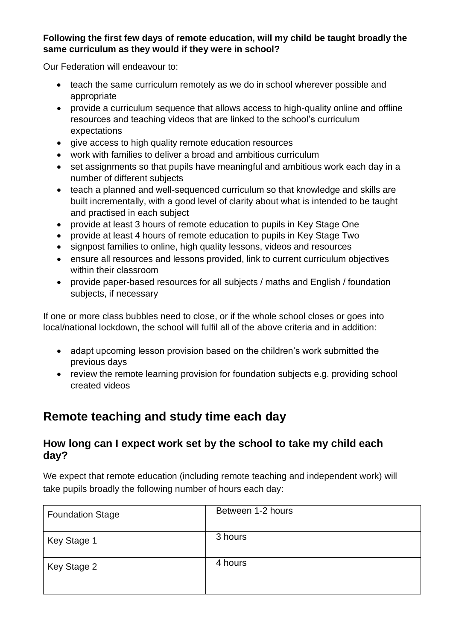### **Following the first few days of remote education, will my child be taught broadly the same curriculum as they would if they were in school?**

Our Federation will endeavour to:

- teach the same curriculum remotely as we do in school wherever possible and appropriate
- provide a curriculum sequence that allows access to high-quality online and offline resources and teaching videos that are linked to the school's curriculum expectations
- give access to high quality remote education resources
- work with families to deliver a broad and ambitious curriculum
- set assignments so that pupils have meaningful and ambitious work each day in a number of different subjects
- teach a planned and well-sequenced curriculum so that knowledge and skills are built incrementally, with a good level of clarity about what is intended to be taught and practised in each subject
- provide at least 3 hours of remote education to pupils in Key Stage One
- provide at least 4 hours of remote education to pupils in Key Stage Two
- signpost families to online, high quality lessons, videos and resources
- ensure all resources and lessons provided, link to current curriculum objectives within their classroom
- provide paper-based resources for all subjects / maths and English / foundation subjects, if necessary

If one or more class bubbles need to close, or if the whole school closes or goes into local/national lockdown, the school will fulfil all of the above criteria and in addition:

- adapt upcoming lesson provision based on the children's work submitted the previous days
- review the remote learning provision for foundation subjects e.g. providing school created videos

# **Remote teaching and study time each day**

### **How long can I expect work set by the school to take my child each day?**

We expect that remote education (including remote teaching and independent work) will take pupils broadly the following number of hours each day:

| <b>Foundation Stage</b> | Between 1-2 hours |
|-------------------------|-------------------|
| Key Stage 1             | 3 hours           |
| Key Stage 2             | 4 hours           |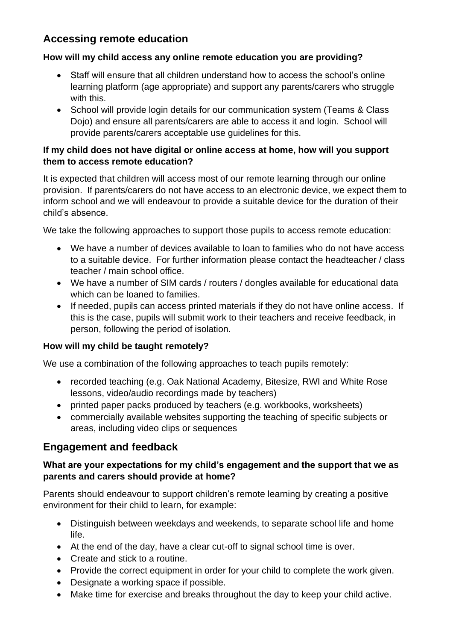## **Accessing remote education**

### **How will my child access any online remote education you are providing?**

- Staff will ensure that all children understand how to access the school's online learning platform (age appropriate) and support any parents/carers who struggle with this.
- School will provide login details for our communication system (Teams & Class Dojo) and ensure all parents/carers are able to access it and login. School will provide parents/carers acceptable use guidelines for this.

#### **If my child does not have digital or online access at home, how will you support them to access remote education?**

It is expected that children will access most of our remote learning through our online provision. If parents/carers do not have access to an electronic device, we expect them to inform school and we will endeavour to provide a suitable device for the duration of their child's absence.

We take the following approaches to support those pupils to access remote education:

- We have a number of devices available to loan to families who do not have access to a suitable device. For further information please contact the headteacher / class teacher / main school office.
- We have a number of SIM cards / routers / dongles available for educational data which can be loaned to families.
- If needed, pupils can access printed materials if they do not have online access. If this is the case, pupils will submit work to their teachers and receive feedback, in person, following the period of isolation.

#### **How will my child be taught remotely?**

We use a combination of the following approaches to teach pupils remotely:

- recorded teaching (e.g. Oak National Academy, Bitesize, RWI and White Rose lessons, video/audio recordings made by teachers)
- printed paper packs produced by teachers (e.g. workbooks, worksheets)
- commercially available websites supporting the teaching of specific subjects or areas, including video clips or sequences

### **Engagement and feedback**

#### **What are your expectations for my child's engagement and the support that we as parents and carers should provide at home?**

Parents should endeavour to support children's remote learning by creating a positive environment for their child to learn, for example:

- Distinguish between weekdays and weekends, to separate school life and home life.
- At the end of the day, have a clear cut-off to signal school time is over.
- Create and stick to a routine.
- Provide the correct equipment in order for your child to complete the work given.
- Designate a working space if possible.
- Make time for exercise and breaks throughout the day to keep your child active.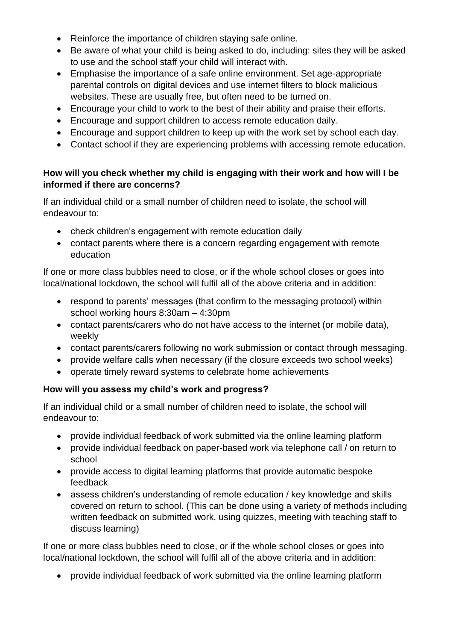- Reinforce the importance of children staying safe online.
- Be aware of what your child is being asked to do, including: sites they will be asked to use and the school staff your child will interact with.
- Emphasise the importance of a safe online environment. Set age-appropriate parental controls on digital devices and use internet filters to block malicious websites. These are usually free, but often need to be turned on.
- Encourage your child to work to the best of their ability and praise their efforts.
- Encourage and support children to access remote education daily.
- Encourage and support children to keep up with the work set by school each day.
- Contact school if they are experiencing problems with accessing remote education.

#### **How will you check whether my child is engaging with their work and how will I be informed if there are concerns?**

If an individual child or a small number of children need to isolate, the school will endeavour to:

- check children's engagement with remote education daily
- contact parents where there is a concern regarding engagement with remote education

If one or more class bubbles need to close, or if the whole school closes or goes into local/national lockdown, the school will fulfil all of the above criteria and in addition:

- respond to parents' messages (that confirm to the messaging protocol) within school working hours 8:30am – 4:30pm
- contact parents/carers who do not have access to the internet (or mobile data), weekly
- contact parents/carers following no work submission or contact through messaging.
- provide welfare calls when necessary (if the closure exceeds two school weeks)
- operate timely reward systems to celebrate home achievements

#### **How will you assess my child's work and progress?**

If an individual child or a small number of children need to isolate, the school will endeavour to:

- provide individual feedback of work submitted via the online learning platform
- provide individual feedback on paper-based work via telephone call / on return to school
- provide access to digital learning platforms that provide automatic bespoke feedback
- assess children's understanding of remote education / key knowledge and skills covered on return to school. (This can be done using a variety of methods including written feedback on submitted work, using quizzes, meeting with teaching staff to discuss learning)

If one or more class bubbles need to close, or if the whole school closes or goes into local/national lockdown, the school will fulfil all of the above criteria and in addition:

• provide individual feedback of work submitted via the online learning platform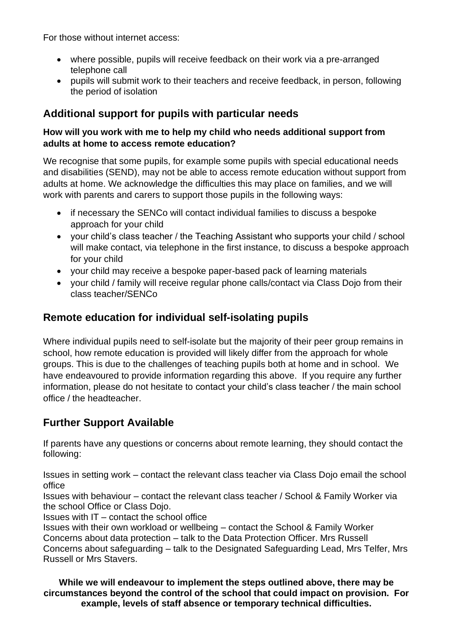For those without internet access:

- where possible, pupils will receive feedback on their work via a pre-arranged telephone call
- pupils will submit work to their teachers and receive feedback, in person, following the period of isolation

## **Additional support for pupils with particular needs**

### **How will you work with me to help my child who needs additional support from adults at home to access remote education?**

We recognise that some pupils, for example some pupils with special educational needs and disabilities (SEND), may not be able to access remote education without support from adults at home. We acknowledge the difficulties this may place on families, and we will work with parents and carers to support those pupils in the following ways:

- if necessary the SENCo will contact individual families to discuss a bespoke approach for your child
- your child's class teacher / the Teaching Assistant who supports your child / school will make contact, via telephone in the first instance, to discuss a bespoke approach for your child
- your child may receive a bespoke paper-based pack of learning materials
- your child / family will receive regular phone calls/contact via Class Dojo from their class teacher/SENCo

### **Remote education for individual self-isolating pupils**

Where individual pupils need to self-isolate but the majority of their peer group remains in school, how remote education is provided will likely differ from the approach for whole groups. This is due to the challenges of teaching pupils both at home and in school. We have endeavoured to provide information regarding this above. If you require any further information, please do not hesitate to contact your child's class teacher / the main school office / the headteacher.

## **Further Support Available**

If parents have any questions or concerns about remote learning, they should contact the following:

Issues in setting work – contact the relevant class teacher via Class Dojo email the school office

Issues with behaviour – contact the relevant class teacher / School & Family Worker via the school Office or Class Dojo.

Issues with IT – contact the school office

Issues with their own workload or wellbeing – contact the School & Family Worker Concerns about data protection – talk to the Data Protection Officer. Mrs Russell

Concerns about safeguarding – talk to the Designated Safeguarding Lead, Mrs Telfer, Mrs Russell or Mrs Stavers.

**While we will endeavour to implement the steps outlined above, there may be circumstances beyond the control of the school that could impact on provision. For example, levels of staff absence or temporary technical difficulties.**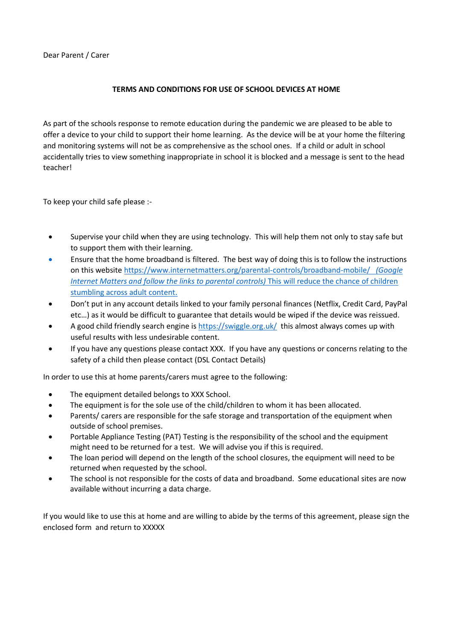Dear Parent / Carer

#### **TERMS AND CONDITIONS FOR USE OF SCHOOL DEVICES AT HOME**

As part of the schools response to remote education during the pandemic we are pleased to be able to offer a device to your child to support their home learning. As the device will be at your home the filtering and monitoring systems will not be as comprehensive as the school ones. If a child or adult in school accidentally tries to view something inappropriate in school it is blocked and a message is sent to the head teacher!

To keep your child safe please :-

- Supervise your child when they are using technology. This will help them not only to stay safe but to support them with their learning.
- Ensure that the home broadband is filtered. The best way of doing this is to follow the instructions on this website<https://www.internetmatters.org/parental-controls/broadband-mobile/>*(Google Internet Matters and follow the links to parental controls)* This will reduce the chance of children stumbling across adult content.
- Don't put in any account details linked to your family personal finances (Netflix, Credit Card, PayPal etc…) as it would be difficult to guarantee that details would be wiped if the device was reissued.
- A good child friendly search engine is<https://swiggle.org.uk/>this almost always comes up with useful results with less undesirable content.
- If you have any questions please contact XXX. If you have any questions or concerns relating to the safety of a child then please contact (DSL Contact Details)

In order to use this at home parents/carers must agree to the following:

- The equipment detailed belongs to XXX School.
- The equipment is for the sole use of the child/children to whom it has been allocated.
- Parents/ carers are responsible for the safe storage and transportation of the equipment when outside of school premises.
- Portable Appliance Testing (PAT) Testing is the responsibility of the school and the equipment might need to be returned for a test. We will advise you if this is required.
- The loan period will depend on the length of the school closures, the equipment will need to be returned when requested by the school.
- The school is not responsible for the costs of data and broadband. Some educational sites are now available without incurring a data charge.

If you would like to use this at home and are willing to abide by the terms of this agreement, please sign the enclosed form and return to XXXXX